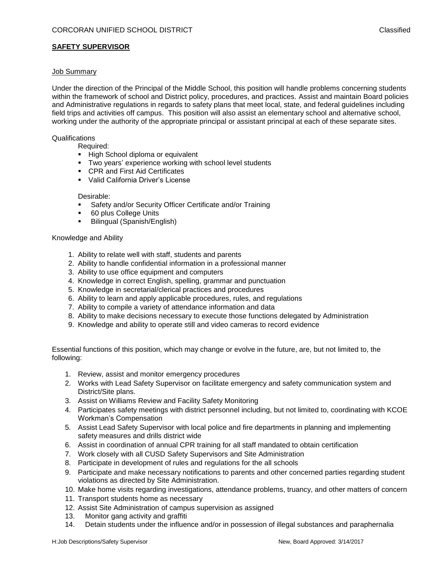# **SAFETY SUPERVISOR**

### Job Summary

Under the direction of the Principal of the Middle School, this position will handle problems concerning students within the framework of school and District policy, procedures, and practices. Assist and maintain Board policies and Administrative regulations in regards to safety plans that meet local, state, and federal guidelines including field trips and activities off campus. This position will also assist an elementary school and alternative school, working under the authority of the appropriate principal or assistant principal at each of these separate sites.

#### **Qualifications**

Required:

- **High School diploma or equivalent**
- Two years' experience working with school level students
- **CPR and First Aid Certificates**
- Valid California Driver's License

#### Desirable:

- **Safety and/or Security Officer Certificate and/or Training**
- **60 plus College Units**
- **Bilingual (Spanish/English)**

#### Knowledge and Ability

- 1. Ability to relate well with staff, students and parents
- 2. Ability to handle confidential information in a professional manner
- 3. Ability to use office equipment and computers
- 4. Knowledge in correct English, spelling, grammar and punctuation
- 5. Knowledge in secretarial/clerical practices and procedures
- 6. Ability to learn and apply applicable procedures, rules, and regulations
- 7. Ability to compile a variety of attendance information and data
- 8. Ability to make decisions necessary to execute those functions delegated by Administration
- 9. Knowledge and ability to operate still and video cameras to record evidence

Essential functions of this position, which may change or evolve in the future, are, but not limited to, the following:

- 1. Review, assist and monitor emergency procedures
- 2. Works with Lead Safety Supervisor on facilitate emergency and safety communication system and District/Site plans.
- 3. Assist on Williams Review and Facility Safety Monitoring
- 4. Participates safety meetings with district personnel including, but not limited to, coordinating with KCOE Workman's Compensation
- 5. Assist Lead Safety Supervisor with local police and fire departments in planning and implementing safety measures and drills district wide
- 6. Assist in coordination of annual CPR training for all staff mandated to obtain certification
- 7. Work closely with all CUSD Safety Supervisors and Site Administration
- 8. Participate in development of rules and regulations for the all schools
- 9. Participate and make necessary notifications to parents and other concerned parties regarding student violations as directed by Site Administration.
- 10. Make home visits regarding investigations, attendance problems, truancy, and other matters of concern
- 11. Transport students home as necessary
- 12. Assist Site Administration of campus supervision as assigned
- 13. Monitor gang activity and graffiti
- 14. Detain students under the influence and/or in possession of illegal substances and paraphernalia